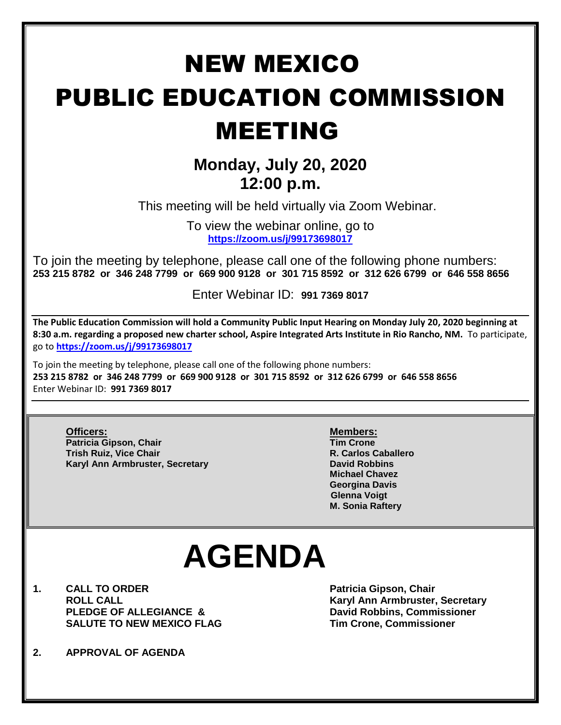## NEW MEXICO PUBLIC EDUCATION COMMISSION MEETING

### **Monday, July 20, 2020 12:00 p.m.**

This meeting will be held virtually via Zoom Webinar.

To view the webinar online, go to **<https://zoom.us/j/99173698017>**

To join the meeting by telephone, please call one of the following phone numbers: **253 215 8782 or 346 248 7799 or 669 900 9128 or 301 715 8592 or 312 626 6799 or 646 558 8656** 

Enter Webinar ID: **991 7369 8017**

**The Public Education Commission will hold a Community Public Input Hearing on Monday July 20, 2020 beginning at 8:30 a.m. regarding a proposed new charter school, Aspire Integrated Arts Institute in Rio Rancho, NM.** To participate, go to **<https://zoom.us/j/99173698017>**

To join the meeting by telephone, please call one of the following phone numbers: **253 215 8782 or 346 248 7799 or 669 900 9128 or 301 715 8592 or 312 626 6799 or 646 558 8656**  Enter Webinar ID: **991 7369 8017**

**Officers: Members: Patricia Gipson, Chair Tim Crone Trish Ruiz, Vice Chair R. Carlos Caballero Karyl Ann Armbruster, Secretary <b>David Robbins David Robbins** 

**Michael Chavez Georgina Davis Glenna Voigt M. Sonia Raftery**

# **AGENDA**

- **1. CALL TO ORDER Patricia Gipson, Chair PLEDGE OF ALLEGIANCE & David Robbins, Commissioner SALUTE TO NEW MEXICO FLAG Tim Crone, Commissioner**
- **ROLL CALL Karyl Ann Armbruster, Secretary**
- **2. APPROVAL OF AGENDA**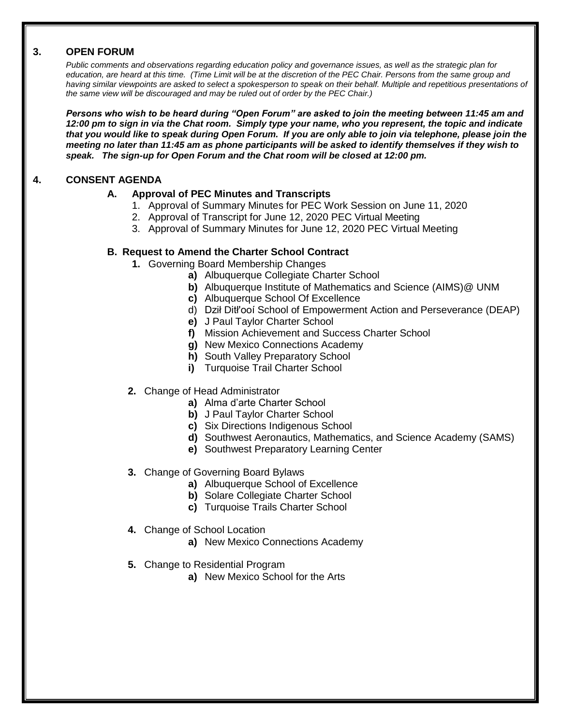#### **3. OPEN FORUM**

*Public comments and observations regarding education policy and governance issues, as well as the strategic plan for education, are heard at this time. (Time Limit will be at the discretion of the PEC Chair. Persons from the same group and having similar viewpoints are asked to select a spokesperson to speak on their behalf. Multiple and repetitious presentations of the same view will be discouraged and may be ruled out of order by the PEC Chair.)*

*Persons who wish to be heard during "Open Forum" are asked to join the meeting between 11:45 am and 12:00 pm to sign in via the Chat room. Simply type your name, who you represent, the topic and indicate that you would like to speak during Open Forum. If you are only able to join via telephone, please join the meeting no later than 11:45 am as phone participants will be asked to identify themselves if they wish to speak. The sign-up for Open Forum and the Chat room will be closed at 12:00 pm.*

#### **4. CONSENT AGENDA**

#### **A. Approval of PEC Minutes and Transcripts**

- 1. Approval of Summary Minutes for PEC Work Session on June 11, 2020
- 2. Approval of Transcript for June 12, 2020 PEC Virtual Meeting
- 3. Approval of Summary Minutes for June 12, 2020 PEC Virtual Meeting

#### **B. Request to Amend the Charter School Contract**

- **1.** Governing Board Membership Changes
	- **a)** Albuquerque Collegiate Charter School
	- **b)** Albuquerque Institute of Mathematics and Science (AIMS)@ UNM
	- **c)** Albuquerque School Of Excellence
	- d) Dził Ditł'ooí School of Empowerment Action and Perseverance (DEAP)
	- **e)** J Paul Taylor Charter School
	- **f)** Mission Achievement and Success Charter School
	- **g)** New Mexico Connections Academy
	- **h)** South Valley Preparatory School
	- **i)** Turquoise Trail Charter School
- **2.** Change of Head Administrator
	- **a)** Alma d'arte Charter School
	- **b)** J Paul Taylor Charter School
	- **c)** Six Directions Indigenous School
	- **d)** Southwest Aeronautics, Mathematics, and Science Academy (SAMS)
	- **e)** Southwest Preparatory Learning Center
- **3.** Change of Governing Board Bylaws
	- **a)** Albuquerque School of Excellence
	- **b)** Solare Collegiate Charter School
	- **c)** Turquoise Trails Charter School
- **4.** Change of School Location
	- **a)** New Mexico Connections Academy
- **5.** Change to Residential Program
	- **a)** New Mexico School for the Arts